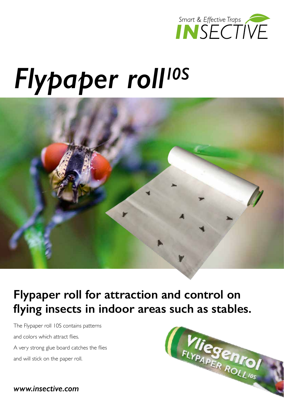

# *Flypaper roll10S*



### **Flypaper roll for attraction and control on flying insects in indoor areas such as stables.**

The Flypaper roll 10S contains patterns and colors which attract flies. A very strong glue board catches the flies and will stick on the paper roll.



*www.insective.com*